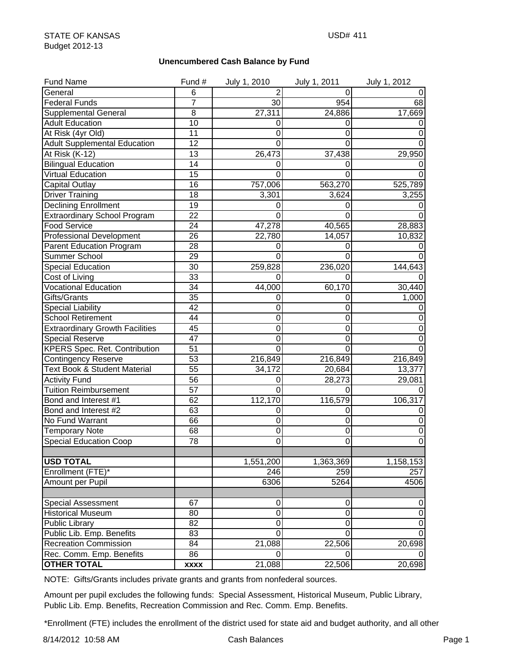## **Unencumbered Cash Balance by Fund**

| <b>Fund Name</b>                       | Fund #          | July 1, 2010        | July 1, 2011     | July 1, 2012 |
|----------------------------------------|-----------------|---------------------|------------------|--------------|
| General                                | 6               |                     | 0                | $\pmb{0}$    |
| <b>Federal Funds</b>                   | $\overline{7}$  | 30                  | 954              | 68           |
| <b>Supplemental General</b>            | $\overline{8}$  | 27,311              | 24,886           | 17,669       |
| <b>Adult Education</b>                 | 10              | 0                   | 0                | O            |
| At Risk (4yr Old)                      | 11              | 0                   | 0                | 0            |
| <b>Adult Supplemental Education</b>    | 12              | 0                   | 0                | 0            |
| At Risk (K-12)                         | 13              | 26,473              | 37,438           | 29,950       |
| <b>Bilingual Education</b>             | 14              | 0                   | 0                |              |
| Virtual Education                      | 15              | 0                   | 0                |              |
| <b>Capital Outlay</b>                  | 16              | 757,006             | 563,270          | 525,789      |
| <b>Driver Training</b>                 | 18              | 3,301               | 3,624            | 3,255        |
| <b>Declining Enrollment</b>            | 19              | 0                   | 0                | 0            |
| <b>Extraordinary School Program</b>    | 22              | $\Omega$            | 0                | 0            |
| <b>Food Service</b>                    | 24              | 47,278              | 40,565           | 28,883       |
| <b>Professional Development</b>        | 26              | 22,780              | 14,057           | 10,832       |
| <b>Parent Education Program</b>        | 28              | 0                   | 0                | $\Omega$     |
| Summer School                          | 29              | $\Omega$            | 0                | 0            |
| <b>Special Education</b>               | 30              | 259,828             | 236,020          | 144,643      |
| Cost of Living                         | 33              | 0                   | 0                |              |
| <b>Vocational Education</b>            | 34              | 44,000              | 60,170           | 30,440       |
| Gifts/Grants                           | 35              | 0                   | 0                | 1,000        |
| <b>Special Liability</b>               | $\overline{42}$ | 0                   | 0                |              |
| <b>School Retirement</b>               | 44              | 0                   | 0                |              |
| <b>Extraordinary Growth Facilities</b> | 45              | 0                   | 0                | 0            |
| <b>Special Reserve</b>                 | 47              | 0                   | 0                |              |
| <b>KPERS Spec. Ret. Contribution</b>   | 51              | 0                   | 0                |              |
| <b>Contingency Reserve</b>             | $\overline{53}$ | 216,849             | 216,849          | 216,849      |
| Text Book & Student Material           | $\overline{55}$ | 34,172              | 20,684           | 13,377       |
| <b>Activity Fund</b>                   | 56              | 0                   | 28,273           | 29,081       |
| <b>Tuition Reimbursement</b>           | 57              | $\Omega$            | 0                |              |
| Bond and Interest #1                   | 62              | 112,170             | 116,579          | 106,317      |
| Bond and Interest #2                   | 63              | 0                   | O                | O            |
| No Fund Warrant                        | 66              | 0                   | 0                | 0            |
| <b>Temporary Note</b>                  | 68              | 0                   | 0                | 0            |
| <b>Special Education Coop</b>          | 78              | 0                   | 0                | 0            |
|                                        |                 |                     |                  |              |
| <b>USD TOTAL</b>                       |                 | 1,551,200           | 1,363,369        | 1,158,153    |
| Enrollment (FTE)*                      |                 | 246                 | 259              | 257          |
| Amount per Pupil                       |                 | 6306                | 5264             | 4506         |
|                                        |                 |                     |                  |              |
| <b>Special Assessment</b>              | 67              | 0                   | $\boldsymbol{0}$ | $\pmb{0}$    |
| <b>Historical Museum</b>               | 80              | $\mathsf{O}\xspace$ | 0                | $\pmb{0}$    |
| Public Library                         | 82              | $\mathbf 0$         | 0                | $\mathbf 0$  |
| Public Lib. Emp. Benefits              | 83              | Ō                   | $\Omega$         | 0            |
| <b>Recreation Commission</b>           | 84              | 21,088              | 22,506           | 20,698       |
| Rec. Comm. Emp. Benefits               | 86              | 0                   |                  |              |
| <b>OTHER TOTAL</b>                     | <b>XXXX</b>     | 21,088              | 22,506           | 20,698       |

NOTE: Gifts/Grants includes private grants and grants from nonfederal sources.

Amount per pupil excludes the following funds: Special Assessment, Historical Museum, Public Library, Public Lib. Emp. Benefits, Recreation Commission and Rec. Comm. Emp. Benefits.

\*Enrollment (FTE) includes the enrollment of the district used for state aid and budget authority, and all other